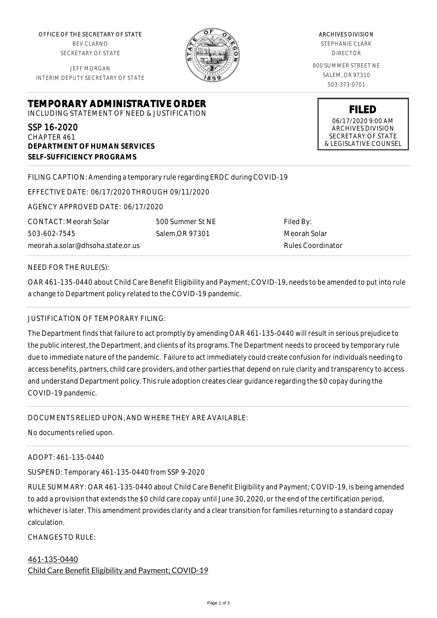OFFICE OF THE SECRETARY OF STATE BEV CLARNO SECRETARY OF STATE

JEFF MORGAN INTERIM DEPUTY SECRETARY OF STATE

**DEPARTMENT OF HUMAN SERVICES**

**SELF-SUFFICIENCY PROGRAMS**

ARCHIVES DIVISION STEPHANIE CLARK DIRECTOR 800 SUMMER STREET NE SALEM, OR 97310 503-373-0701

> **FILED** 06/17/2020 9:00 AM ARCHIVES DIVISION SECRETARY OF STATE & LEGISLATIVE COUNSEL

FILING CAPTION: Amending a temporary rule regarding ERDC during COVID-19

EFFECTIVE DATE: 06/17/2020 THROUGH 09/11/2020

**TEMPORARY ADMINISTRATIVE ORDER** INCLUDING STATEMENT OF NEED & JUSTIFICATION

AGENCY APPROVED DATE: 06/17/2020

CONTACT: Meorah Solar 503-602-7545 meorah.a.solar@dhsoha.state.or.us

500 Summer St NE Salem,OR 97301

Filed By: Meorah Solar Rules Coordinator

#### NEED FOR THE RULE(S):

SSP 16-2020 CHAPTER 461

OAR 461-135-0440 about Child Care Benefit Eligibility and Payment; COVID-19, needs to be amended to put into rule a change to Department policy related to the COVID-19 pandemic.

## JUSTIFICATION OF TEMPORARY FILING:

The Department finds that failure to act promptly by amending OAR 461-135-0440 will result in serious prejudice to the public interest, the Department, and clients of its programs. The Department needs to proceed by temporary rule due to immediate nature of the pandemic. Failure to act immediately could create confusion for individuals needing to access benefits, partners, child care providers, and other parties that depend on rule clarity and transparency to access and understand Department policy. This rule adoption creates clear guidance regarding the \$0 copay during the COVID-19 pandemic.

## DOCUMENTS RELIED UPON, AND WHERE THEY ARE AVAILABLE:

No documents relied upon.

#### ADOPT: 461-135-0440

SUSPEND: Temporary 461-135-0440 from SSP 9-2020

RULE SUMMARY: OAR 461-135-0440 about Child Care Benefit Eligibility and Payment; COVID-19, is being amended to add a provision that extends the \$0 child care copay until June 30, 2020, or the end of the certification period, whichever is later. This amendment provides clarity and a clear transition for families returning to a standard copay calculation.

CHANGES TO RULE:

# 461-135-0440 Child Care Benefit Eligibility and Payment; COVID-19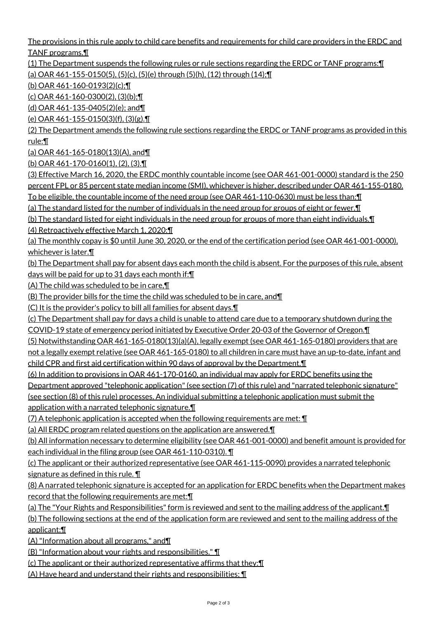The provisions in this rule apply to child care benefits and requirements for child care providers in the ERDC and TANF programs.¶

(1) The Department suspends the following rules or rule sections regarding the ERDC or TANF programs:¶ (a) OAR 461-155-0150(5), (5)(c), (5)(e) through (5)(h), (12) through (14);¶

(b) OAR 461-160-0193(2)(c);¶

(c) OAR 461-160-0300(2), (3)(b);¶

(d) OAR 461-135-0405(2)(e); and¶

(e) OAR 461-155-0150(3)(f), (3)(g).¶

(2) The Department amends the following rule sections regarding the ERDC or TANF programs as provided in this rule:¶

(a) OAR 461-165-0180(13)(A), and¶

(b) OAR 461-170-0160(1), (2), (3).¶

(3) Effective March 16, 2020, the ERDC monthly countable income (see OAR 461-001-0000) standard is the 250 percent FPL or 85 percent state median income (SMI), whichever is higher, described under OAR 461-155-0180. To be eligible, the countable income of the need group (see OAR 461-110-0630) must be less than:¶

(a) The standard listed for the number of individuals in the need group for groups of eight or fewer.¶

(b) The standard listed for eight individuals in the need group for groups of more than eight individuals.¶

(4) Retroactively effective March 1, 2020:¶

(a) The monthly copay is \$0 until June 30, 2020, or the end of the certification period (see OAR 461-001-0000), whichever is later.

(b) The Department shall pay for absent days each month the child is absent. For the purposes of this rule, absent days will be paid for up to 31 days each month if:¶

(A) The child was scheduled to be in care,¶

(B) The provider bills for the time the child was scheduled to be in care, and¶

(C) It is the provider's policy to bill all families for absent days.¶

(c) The Department shall pay for days a child is unable to attend care due to a temporary shutdown during the

COVID-19 state of emergency period initiated by Executive Order 20-03 of the Governor of Oregon.¶

(5) Notwithstanding OAR 461-165-0180(13)(a)(A), legally exempt (see OAR 461-165-0180) providers that are

not a legally exempt relative (see OAR 461-165-0180) to all children in care must have an up-to-date, infant and child CPR and first aid certification within 90 days of approval by the Department.¶

(6) In addition to provisions in OAR 461-170-0160, an individual may apply for ERDC benefits using the

Department approved "telephonic application" (see section (7) of this rule) and "narrated telephonic signature"

(see section (8) of this rule) processes. An individual submitting a telephonic application must submit the application with a narrated telephonic signature.¶

(7) A telephonic application is accepted when the following requirements are met: ¶

(a) All ERDC program related questions on the application are answered.¶

(b) All information necessary to determine eligibility (see OAR 461-001-0000) and benefit amount is provided for each individual in the filing group (see OAR 461-110-0310). ¶

(c) The applicant or their authorized representative (see OAR 461-115-0090) provides a narrated telephonic signature as defined in this rule. ¶

(8) A narrated telephonic signature is accepted for an application for ERDC benefits when the Department makes record that the following requirements are met:¶

(a) The "Your Rights and Responsibilities" form is reviewed and sent to the mailing address of the applicant.¶

(b) The following sections at the end of the application form are reviewed and sent to the mailing address of the applicant:¶

(A) "Information about all programs," and¶

(B) "Information about your rights and responsibilities." ¶

(c) The applicant or their authorized representative affirms that they:¶

(A) Have heard and understand their rights and responsibilities; ¶